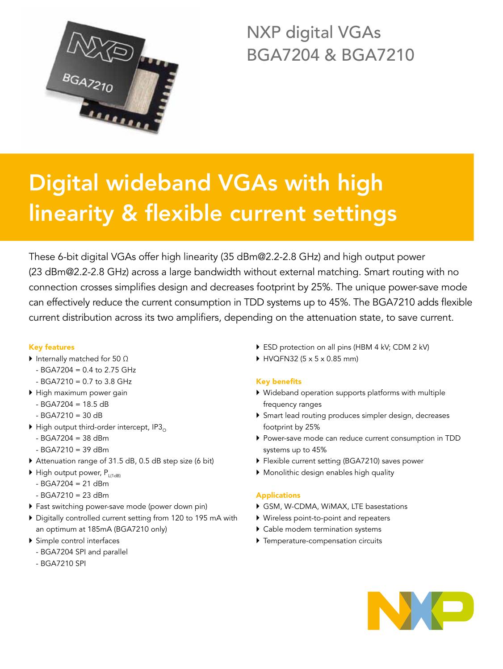

NXP digital VGAs BGA7204 & BGA7210

# Digital wideband VGAs with high linearity & flexible current settings

These 6-bit digital VGAs offer high linearity (35 dBm@2.2-2.8 GHz) and high output power (23 dBm@2.2-2.8 GHz) across a large bandwidth without external matching. Smart routing with no connection crosses simplifies design and decreases footprint by 25%. The unique power-save mode can effectively reduce the current consumption in TDD systems up to 45%. The BGA7210 adds flexible current distribution across its two amplifiers, depending on the attenuation state, to save current.

# Key features

- $\blacktriangleright$  Internally matched for 50  $\Omega$ 
	- $-$  BGA7204 = 0.4 to 2.75 GHz
	- $-$  BGA7210 = 0.7 to 3.8 GHz
- $\blacktriangleright$  High maximum power gain
	- $-$  BGA7204 = 18.5 dB
	- $-$  BGA7210 = 30 dB
- $\blacktriangleright$  High output third-order intercept, IP3<sub>0</sub>
	- $-$  BGA7204 = 38 dBm
	- $-$  BGA7210 = 39 dBm
- ` Attenuation range of 31.5 dB, 0.5 dB step size (6 bit)
- $\blacktriangleright$  High output power, P<sub>L(1dB)</sub>
	- BGA7204 = 21 dBm
	- $-$  BGA7210 = 23 dBm
- $\triangleright$  Fast switching power-save mode (power down pin)
- ` Digitally controlled current setting from 120 to 195 mA with an optimum at 185mA (BGA7210 only)
- $\triangleright$  Simple control interfaces
	- BGA7204 SPI and parallel
	- BGA7210 SPI
- ▶ ESD protection on all pins (HBM 4 kV; CDM 2 kV)
- $\blacktriangleright$  HVQFN32 (5 x 5 x 0.85 mm)

# Key benefits

- ` Wideband operation supports platforms with multiple frequency ranges
- ` Smart lead routing produces simpler design, decreases footprint by 25%
- ` Power-save mode can reduce current consumption in TDD systems up to 45%
- ` Flexible current setting (BGA7210) saves power
- $\blacktriangleright$  Monolithic design enables high quality

# Applications

- ` GSM, W-CDMA, WiMAX, LTE basestations
- ` Wireless point-to-point and repeaters
- $\blacktriangleright$  Cable modem termination systems
- $\blacktriangleright$  Temperature-compensation circuits